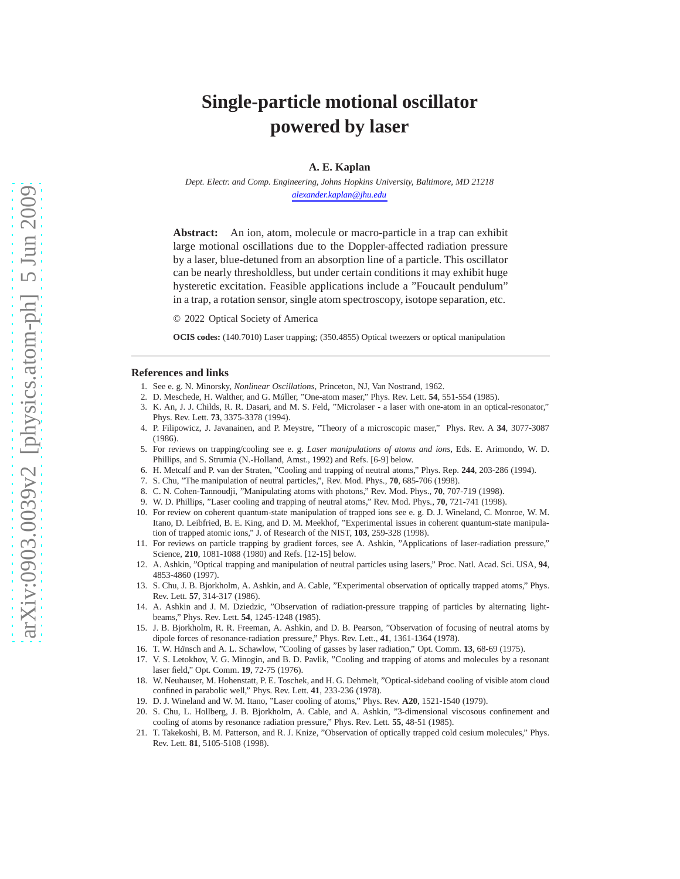# **Single-particle motional oscillator powered by laser**

**A. E. Kaplan**

*Dept. Electr. and Comp. Engineering, Johns Hopkins University, Baltimore, MD 21218 alexander.kaplan@jhu.edu*

**Abstract:** An ion, atom, molecule or macro-particle in a trap can exhibit large motional oscillations due to the Doppler-affected radiation pressure by a laser, blue-detuned from an absorption line of a particle. This oscillator can be nearly thresholdless, but under certain conditions it may exhibit huge hysteretic excitation. Feasible applications include a "Foucault pendulum" in a trap, a rotation sensor, single atom spectroscopy, isotope separation, etc.

© 2022 Optical Society of America

**OCIS codes:** (140.7010) Laser trapping; (350.4855) Optical tweezers or optical manipulation

#### **References and links**

- 1. See e. g. N. Minorsky, *Nonlinear Oscillations*, Princeton, NJ, Van Nostrand, 1962.
- 2. D. Meschede, H. Walther, and G. Müller, "One-atom maser," Phys. Rev. Lett. **54**, 551-554 (1985).
- 3. K. An, J. J. Childs, R. R. Dasari, and M. S. Feld, "Microlaser a laser with one-atom in an optical-resonator," Phys. Rev. Lett. **73**, 3375-3378 (1994).
- 4. P. Filipowicz, J. Javanainen, and P. Meystre, "Theory of a microscopic maser," Phys. Rev. A **34**, 3077-3087  $(1986)$
- 5. For reviews on trapping/cooling see e. g. *Laser manipulations of atoms and ions*, Eds. E. Arimondo, W. D. Phillips, and S. Strumia (N.-Holland, Amst., 1992) and Refs. [6-9] below.
- 6. H. Metcalf and P. van der Straten, "Cooling and trapping of neutral atoms," Phys. Rep. **244**, 203-286 (1994).
- 7. S. Chu, "The manipulation of neutral particles,", Rev. Mod. Phys., **70**, 685-706 (1998).
- 8. C. N. Cohen-Tannoudji, "Manipulating atoms with photons," Rev. Mod. Phys., **70**, 707-719 (1998).
- 9. W. D. Phillips, "Laser cooling and trapping of neutral atoms," Rev. Mod. Phys., **70**, 721-741 (1998).
- 10. For review on coherent quantum-state manipulation of trapped ions see e. g. D. J. Wineland, C. Monroe, W. M. Itano, D. Leibfried, B. E. King, and D. M. Meekhof, "Experimental issues in coherent quantum-state manipulation of trapped atomic ions," J. of Research of the NIST, **103**, 259-328 (1998).
- 11. For reviews on particle trapping by gradient forces, see A. Ashkin, "Applications of laser-radiation pressure," Science, **210**, 1081-1088 (1980) and Refs. [12-15] below.
- 12. A. Ashkin, "Optical trapping and manipulation of neutral particles using lasers," Proc. Natl. Acad. Sci. USA, **94**, 4853-4860 (1997).
- 13. S. Chu, J. B. Bjorkholm, A. Ashkin, and A. Cable, "Experimental observation of optically trapped atoms," Phys. Rev. Lett. **57**, 314-317 (1986).
- 14. A. Ashkin and J. M. Dziedzic, "Observation of radiation-pressure trapping of particles by alternating lightbeams," Phys. Rev. Lett. **54**, 1245-1248 (1985).
- 15. J. B. Bjorkholm, R. R. Freeman, A. Ashkin, and D. B. Pearson, "Observation of focusing of neutral atoms by dipole forces of resonance-radiation pressure," Phys. Rev. Lett., **41**, 1361-1364 (1978).
- 16. T. W. Hänsch and A. L. Schawlow, "Cooling of gasses by laser radiation," Opt. Comm. 13, 68-69 (1975).
- 17. V. S. Letokhov, V. G. Minogin, and B. D. Pavlik, "Cooling and trapping of atoms and molecules by a resonant laser field," Opt. Comm. **19**, 72-75 (1976).
- 18. W. Neuhauser, M. Hohenstatt, P. E. Toschek, and H. G. Dehmelt, "Optical-sideband cooling of visible atom cloud confined in parabolic well," Phys. Rev. Lett. **41**, 233-236 (1978).
- 19. D. J. Wineland and W. M. Itano, "Laser cooling of atoms," Phys. Rev. **A20**, 1521-1540 (1979).
- 20. S. Chu, L. Hollberg, J. B. Bjorkholm, A. Cable, and A. Ashkin, "3-dimensional viscosous confinement and cooling of atoms by resonance radiation pressure," Phys. Rev. Lett. **55**, 48-51 (1985).
- 21. T. Takekoshi, B. M. Patterson, and R. J. Knize, "Observation of optically trapped cold cesium molecules," Phys. Rev. Lett. **81**, 5105-5108 (1998).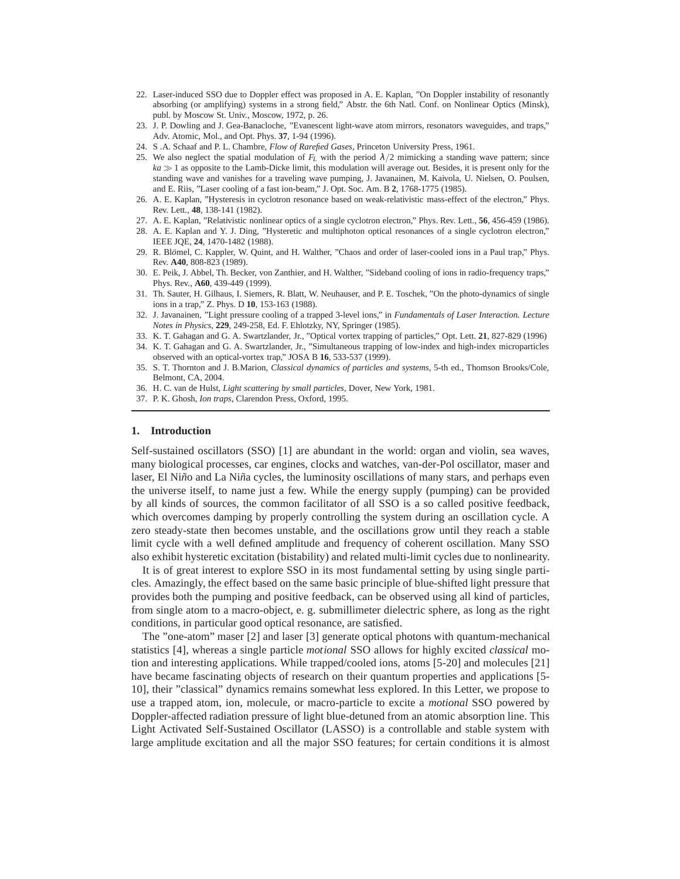- 22. Laser-induced SSO due to Doppler effect was proposed in A. E. Kaplan, "On Doppler instability of resonantly absorbing (or amplifying) systems in a strong field," Abstr. the 6th Natl. Conf. on Nonlinear Optics (Minsk), publ. by Moscow St. Univ., Moscow, 1972, p. 26.
- 23. J. P. Dowling and J. Gea-Banacloche, "Evanescent light-wave atom mirrors, resonators waveguides, and traps," Adv. Atomic, Mol., and Opt. Phys. **37**, 1-94 (1996).
- 24. S .A. Schaaf and P. L. Chambre, *Flow of Rarefied Gases,* Princeton University Press, 1961.
- 25. We also neglect the spatial modulation of  $F<sub>L</sub>$  with the period  $\lambda/2$  mimicking a standing wave pattern; since *ka* ≫ 1 as opposite to the Lamb-Dicke limit, this modulation will average out. Besides, it is present only for the standing wave and vanishes for a traveling wave pumping, J. Javanainen, M. Kaivola, U. Nielsen, O. Poulsen, and E. Riis, "Laser cooling of a fast ion-beam," J. Opt. Soc. Am. B **2**, 1768-1775 (1985).
- 26. A. E. Kaplan, "Hysteresis in cyclotron resonance based on weak-relativistic mass-effect of the electron," Phys. Rev. Lett., **48**, 138-141 (1982).
- 27. A. E. Kaplan, "Relativistic nonlinear optics of a single cyclotron electron," Phys. Rev. Lett., **56**, 456-459 (1986).
- 28. A. E. Kaplan and Y. J. Ding, "Hysteretic and multiphoton optical resonances of a single cyclotron electron," IEEE JQE, **24**, 1470-1482 (1988).
- 29. R. Blömel, C. Kappler, W. Quint, and H. Walther, "Chaos and order of laser-cooled ions in a Paul trap," Phys. Rev. **A40**, 808-823 (1989).
- 30. E. Peik, J. Abbel, Th. Becker, von Zanthier, and H. Walther, "Sideband cooling of ions in radio-frequency traps," Phys. Rev., **A60**, 439-449 (1999).
- 31. Th. Sauter, H. Gilhaus, I. Siemers, R. Blatt, W. Neuhauser, and P. E. Toschek, "On the photo-dynamics of single ions in a trap," Z. Phys. D **10**, 153-163 (1988).
- 32. J. Javanainen, "Light pressure cooling of a trapped 3-level ions," in *Fundamentals of Laser Interaction. Lecture Notes in Physics*, **229**, 249-258, Ed. F. Ehlotzky, NY, Springer (1985).
- 33. K. T. Gahagan and G. A. Swartzlander, Jr., "Optical vortex trapping of particles," Opt. Lett. **21**, 827-829 (1996)
- 34. K. T. Gahagan and G. A. Swartzlander, Jr., "Simultaneous trapping of low-index and high-index microparticles observed with an optical-vortex trap," JOSA B **16**, 533-537 (1999).
- 35. S. T. Thornton and J. B.Marion, *Classical dynamics of particles and systems*, 5-th ed., Thomson Brooks/Cole, Belmont, CA, 2004.
- 36. H. C. van de Hulst, *Light scattering by small particles*, Dover, New York, 1981.
- 37. P. K. Ghosh, *Ion traps*, Clarendon Press, Oxford, 1995.

#### **1. Introduction**

Self-sustained oscillators (SSO) [1] are abundant in the world: organ and violin, sea waves, many biological processes, car engines, clocks and watches, van-der-Pol oscillator, maser and laser, El Niño and La Niña cycles, the luminosity oscillations of many stars, and perhaps even the universe itself, to name just a few. While the energy supply (pumping) can be provided by all kinds of sources, the common facilitator of all SSO is a so called positive feedback, which overcomes damping by properly controlling the system during an oscillation cycle. A zero steady-state then becomes unstable, and the oscillations grow until they reach a stable limit cycle with a well defined amplitude and frequency of coherent oscillation. Many SSO also exhibit hysteretic excitation (bistability) and related multi-limit cycles due to nonlinearity.

It is of great interest to explore SSO in its most fundamental setting by using single particles. Amazingly, the effect based on the same basic principle of blue-shifted light pressure that provides both the pumping and positive feedback, can be observed using all kind of particles, from single atom to a macro-object, e. g. submillimeter dielectric sphere, as long as the right conditions, in particular good optical resonance, are satisfied.

The "one-atom" maser [2] and laser [3] generate optical photons with quantum-mechanical statistics [4], whereas a single particle *motional* SSO allows for highly excited *classical* motion and interesting applications. While trapped/cooled ions, atoms [5-20] and molecules [21] have became fascinating objects of research on their quantum properties and applications [5- 10], their "classical" dynamics remains somewhat less explored. In this Letter, we propose to use a trapped atom, ion, molecule, or macro-particle to excite a *motional* SSO powered by Doppler-affected radiation pressure of light blue-detuned from an atomic absorption line. This Light Activated Self-Sustained Oscillator (LASSO) is a controllable and stable system with large amplitude excitation and all the major SSO features; for certain conditions it is almost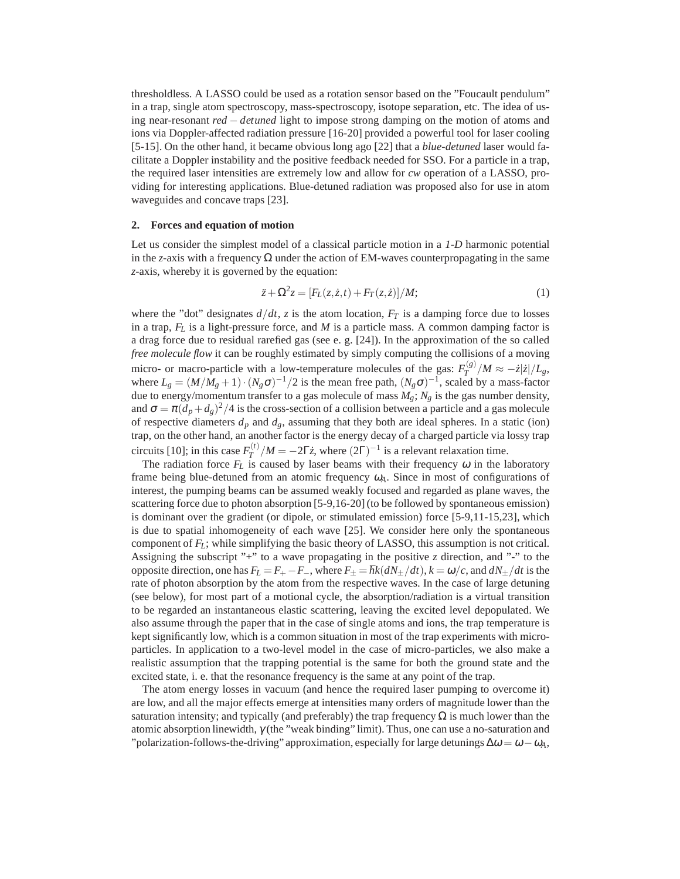thresholdless. A LASSO could be used as a rotation sensor based on the "Foucault pendulum" in a trap, single atom spectroscopy, mass-spectroscopy, isotope separation, etc. The idea of using near-resonant *red* − *detuned* light to impose strong damping on the motion of atoms and ions via Doppler-affected radiation pressure [16-20] provided a powerful tool for laser cooling [5-15]. On the other hand, it became obvious long ago [22] that a *blue-detuned* laser would facilitate a Doppler instability and the positive feedback needed for SSO. For a particle in a trap, the required laser intensities are extremely low and allow for *cw* operation of a LASSO, providing for interesting applications. Blue-detuned radiation was proposed also for use in atom waveguides and concave traps [23].

## **2. Forces and equation of motion**

Let us consider the simplest model of a classical particle motion in a *1-D* harmonic potential in the *z*-axis with a frequency  $\Omega$  under the action of EM-waves counterpropagating in the same *z*-axis, whereby it is governed by the equation:

$$
\ddot{z} + \Omega^2 z = [F_L(z, \dot{z}, t) + F_T(z, \dot{z})]/M; \tag{1}
$$

where the "dot" designates  $d/dt$ , *z* is the atom location,  $F_T$  is a damping force due to losses in a trap, *F<sup>L</sup>* is a light-pressure force, and *M* is a particle mass. A common damping factor is a drag force due to residual rarefied gas (see e. g. [24]). In the approximation of the so called *free molecule flow* it can be roughly estimated by simply computing the collisions of a moving micro- or macro-particle with a low-temperature molecules of the gas:  $F_T^{(g)}/M \approx -\frac{z}{z}|\dot{z}|/L_g$ , where  $L_g = (M/M_g + 1) \cdot (N_g \sigma)^{-1} / 2$  is the mean free path,  $(N_g \sigma)^{-1}$ , scaled by a mass-factor due to energy/momentum transfer to a gas molecule of mass  $M_g$ ;  $N_g$  is the gas number density, and  $\sigma = \pi (d_p + d_g)^2/4$  is the cross-section of a collision between a particle and a gas molecule of respective diameters  $d_p$  and  $d_g$ , assuming that they both are ideal spheres. In a static (ion) trap, on the other hand, an another factor is the energy decay of a charged particle via lossy trap circuits [10]; in this case  $F_T^{(t)}$  $T_T^{(t)}/M = -2\Gamma \dot{z}$ , where  $(2\Gamma)^{-1}$  is a relevant relaxation time.

The radiation force  $F_L$  is caused by laser beams with their frequency  $\omega$  in the laboratory frame being blue-detuned from an atomic frequency <sup>ω</sup>*A*. Since in most of configurations of interest, the pumping beams can be assumed weakly focused and regarded as plane waves, the scattering force due to photon absorption [5-9,16-20] (to be followed by spontaneous emission) is dominant over the gradient (or dipole, or stimulated emission) force [5-9,11-15,23], which is due to spatial inhomogeneity of each wave [25]. We consider here only the spontaneous component of *FL*; while simplifying the basic theory of LASSO, this assumption is not critical. Assigning the subscript "+" to a wave propagating in the positive  $\zeta$  direction, and "-" to the opposite direction, one has  $F_L = F_+ - F_-$ , where  $F_+ = \hbar k (dN_+/dt)$ ,  $k = \omega/c$ , and  $dN_+/dt$  is the rate of photon absorption by the atom from the respective waves. In the case of large detuning (see below), for most part of a motional cycle, the absorption/radiation is a virtual transition to be regarded an instantaneous elastic scattering, leaving the excited level depopulated. We also assume through the paper that in the case of single atoms and ions, the trap temperature is kept significantly low, which is a common situation in most of the trap experiments with microparticles. In application to a two-level model in the case of micro-particles, we also make a realistic assumption that the trapping potential is the same for both the ground state and the excited state, i. e. that the resonance frequency is the same at any point of the trap.

The atom energy losses in vacuum (and hence the required laser pumping to overcome it) are low, and all the major effects emerge at intensities many orders of magnitude lower than the saturation intensity; and typically (and preferably) the trap frequency  $\Omega$  is much lower than the atomic absorption linewidth,  $\gamma$  (the "weak binding" limit). Thus, one can use a no-saturation and "polarization-follows-the-driving" approximation, especially for large detunings  $\Delta \omega = \omega - \omega_A$ ,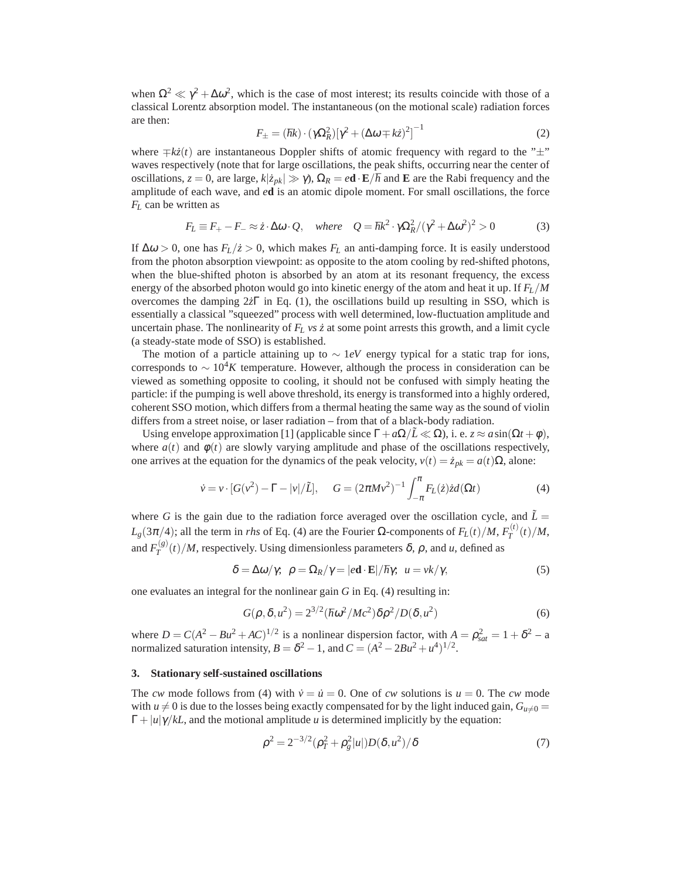when  $\Omega^2 \ll \gamma^2 + \Delta \omega^2$ , which is the case of most interest; its results coincide with those of a classical Lorentz absorption model. The instantaneous (on the motional scale) radiation forces are then:

$$
F_{\pm} = (\hbar k) \cdot (\gamma \Omega_R^2) [\gamma^2 + (\Delta \omega \mp k \dot{z})^2]^{-1}
$$
 (2)

where  $\mp k\dot{z}(t)$  are instantaneous Doppler shifts of atomic frequency with regard to the " $\pm$ " waves respectively (note that for large oscillations, the peak shifts, occurring near the center of oscillations,  $z = 0$ , are large,  $k | \bar{z}_{pk} | \gg \gamma$ ,  $\Omega_R = e \mathbf{d} \cdot \mathbf{E}/\hbar$  and **E** are the Rabi frequency and the amplitude of each wave, and *e***d** is an atomic dipole moment. For small oscillations, the force *F<sup>L</sup>* can be written as

$$
F_L \equiv F_+ - F_- \approx \dot{z} \cdot \Delta \omega \cdot Q, \quad \text{where} \quad Q = \hbar k^2 \cdot \gamma \Omega_R^2 / (\gamma^2 + \Delta \omega^2)^2 > 0 \tag{3}
$$

If  $\Delta \omega > 0$ , one has  $F_L/z > 0$ , which makes  $F_L$  an anti-damping force. It is easily understood from the photon absorption viewpoint: as opposite to the atom cooling by red-shifted photons, when the blue-shifted photon is absorbed by an atom at its resonant frequency, the excess energy of the absorbed photon would go into kinetic energy of the atom and heat it up. If *FL*/*M* overcomes the damping  $2\overline{z}\Gamma$  in Eq. (1), the oscillations build up resulting in SSO, which is essentially a classical "squeezed" process with well determined, low-fluctuation amplitude and uncertain phase. The nonlinearity of  $F_L$  *vs*  $\dot{z}$  at some point arrests this growth, and a limit cycle (a steady-state mode of SSO) is established.

The motion of a particle attaining up to  $\sim 1$ eV energy typical for a static trap for ions, corresponds to  $\sim 10^4 K$  temperature. However, although the process in consideration can be viewed as something opposite to cooling, it should not be confused with simply heating the particle: if the pumping is well above threshold, its energy is transformed into a highly ordered, coherent SSO motion, which differs from a thermal heating the same way as the sound of violin differs from a street noise, or laser radiation – from that of a black-body radiation.

Using envelope approximation [1] (applicable since  $\Gamma + a\Omega/\tilde{L} \ll \Omega$ ), i. e.  $z \approx a\sin(\Omega t + \phi)$ , where  $a(t)$  and  $\phi(t)$  are slowly varying amplitude and phase of the oscillations respectively, one arrives at the equation for the dynamics of the peak velocity,  $v(t) = \dot{z}_{pk} = a(t)Ω$ , alone:

$$
\dot{v} = v \cdot [G(v^2) - \Gamma - |v|/\tilde{L}], \quad G = (2\pi M v^2)^{-1} \int_{-\pi}^{\pi} F_L(\dot{z}) \dot{z} d(\Omega t)
$$
(4)

where G is the gain due to the radiation force averaged over the oscillation cycle, and  $\tilde{L}$  = *L*<sub>*g*</sub>(3π/4); all the term in *rhs* of Eq. (4) are the Fourier Ω-components of  $F_L(t)/M$ ,  $F_T^{(t)}$  $T^{(t)}(t)/M$ , and  $F_T^{(g)}(t)/M$ , respectively. Using dimensionless parameters  $\delta$ ,  $\rho$ , and  $u$ , defined as

$$
\delta = \Delta \omega / \gamma; \ \rho = \Omega_R / \gamma = |e\mathbf{d} \cdot \mathbf{E}| / \hbar \gamma; \ u = v k / \gamma,
$$
 (5)

one evaluates an integral for the nonlinear gain *G* in Eq. (4) resulting in:

$$
G(\rho, \delta, u^2) = 2^{3/2} (\hbar \omega^2 / Mc^2) \delta \rho^2 / D(\delta, u^2)
$$
 (6)

where  $D = C(A^2 - Bu^2 + AC)^{1/2}$  is a nonlinear dispersion factor, with  $A = \rho_{sat}^2 = 1 + \delta^2 - a$ normalized saturation intensity,  $B = \delta^2 - 1$ , and  $C = (A^2 - 2Bu^2 + u^4)^{1/2}$ .

### **3. Stationary self-sustained oscillations**

The *cw* mode follows from (4) with  $\dot{v} = \dot{u} = 0$ . One of *cw* solutions is  $u = 0$ . The *cw* mode with  $u \neq 0$  is due to the losses being exactly compensated for by the light induced gain,  $G_{u\neq 0}$  =  $\Gamma + |u|\gamma/kL$ , and the motional amplitude *u* is determined implicitly by the equation:

$$
\rho^2 = 2^{-3/2} (\rho_T^2 + \rho_g^2 |u|) D(\delta, u^2) / \delta \tag{7}
$$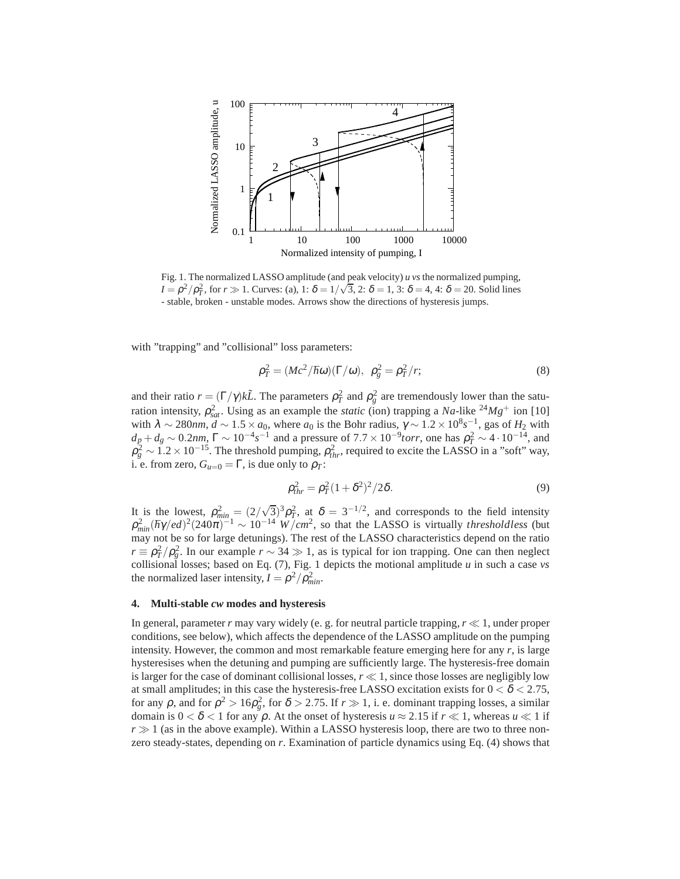

Fig. 1. The normalized LASSO amplitude (and peak velocity) *u vs* the normalized pumping,  $I = \rho^2 / \rho_T^2$ , for  $r \gg 1$ . Curves: (a), 1:  $\delta = 1/\sqrt{3}$ , 2:  $\delta = 1$ , 3:  $\delta = 4$ , 4:  $\delta = 20$ . Solid lines - stable, broken - unstable modes. Arrows show the directions of hysteresis jumps.

with "trapping" and "collisional" loss parameters:

$$
\rho_T^2 = (Mc^2/\hbar\omega)(\Gamma/\omega), \ \rho_g^2 = \rho_T^2/r; \tag{8}
$$

and their ratio  $r = (\Gamma/\gamma)k\tilde{L}$ . The parameters  $\rho_T^2$  and  $\rho_g^2$  are tremendously lower than the saturation intensity,  $\rho_{sat}^2$ . Using as an example the *static* (ion) trapping a *Na*-like <sup>24</sup>*Mg*<sup>+</sup> ion [10] with  $\lambda \sim 280$ *nm*,  $d \sim 1.5 \times a_0$ , where  $a_0$  is the Bohr radius,  $\gamma \sim 1.2 \times 10^8 s^{-1}$ , gas of  $H_2$  with  $d_p + d_g \sim 0.2$ *nm*,  $\Gamma \sim 10^{-4} s^{-1}$  and a pressure of  $7.7 \times 10^{-9}$ torr, one has  $\rho_T^2 \sim 4 \cdot 10^{-14}$ , and  $\rho_g^2 \sim 1.2 \times 10^{-15}$ . The threshold pumping,  $\rho_{thr}^2$ , required to excite the LASSO in a "soft" way, i. e. from zero,  $G_{u=0} = \Gamma$ , is due only to  $\rho_T$ :

$$
\rho_{thr}^2 = \rho_T^2 (1 + \delta^2)^2 / 2\delta.
$$
 (9)

It is the lowest,  $\rho_{min}^2 = (2/\sqrt{3})^3 \rho_T^2$ , at  $\delta = 3^{-1/2}$ , and corresponds to the field intensity  $\rho_{min}^2(\hbar\gamma/ed)^2(240\pi)^{-1} \sim 10^{-14}$  *W*/*cm*<sup>2</sup>, so that the LASSO is virtually *thresholdless* (but may not be so for large detunings). The rest of the LASSO characteristics depend on the ratio  $r = \rho_T^2/\rho_g^2$ . In our example  $r \sim 34 \gg 1$ , as is typical for ion trapping. One can then neglect collisional losses; based on Eq. (7), Fig. 1 depicts the motional amplitude *u* in such a case *vs* the normalized laser intensity,  $I = \rho^2 / \rho_{min}^2$ .

### **4. Multi-stable** *cw* **modes and hysteresis**

In general, parameter *r* may vary widely (e. g. for neutral particle trapping,  $r \ll 1$ , under proper conditions, see below), which affects the dependence of the LASSO amplitude on the pumping intensity. However, the common and most remarkable feature emerging here for any *r*, is large hysteresises when the detuning and pumping are sufficiently large. The hysteresis-free domain is larger for the case of dominant collisional losses,  $r \ll 1$ , since those losses are negligibly low at small amplitudes; in this case the hysteresis-free LASSO excitation exists for  $0 < \delta < 2.75$ , for any  $\rho$ , and for  $\rho^2 > 16\rho_g^2$ , for  $\delta > 2.75$ . If  $r \gg 1$ , i. e. dominant trapping losses, a similar domain is  $0 < \delta < 1$  for any  $\rho$ . At the onset of hysteresis  $u \approx 2.15$  if  $r \ll 1$ , whereas  $u \ll 1$  if  $r \gg 1$  (as in the above example). Within a LASSO hysteresis loop, there are two to three nonzero steady-states, depending on *r*. Examination of particle dynamics using Eq. (4) shows that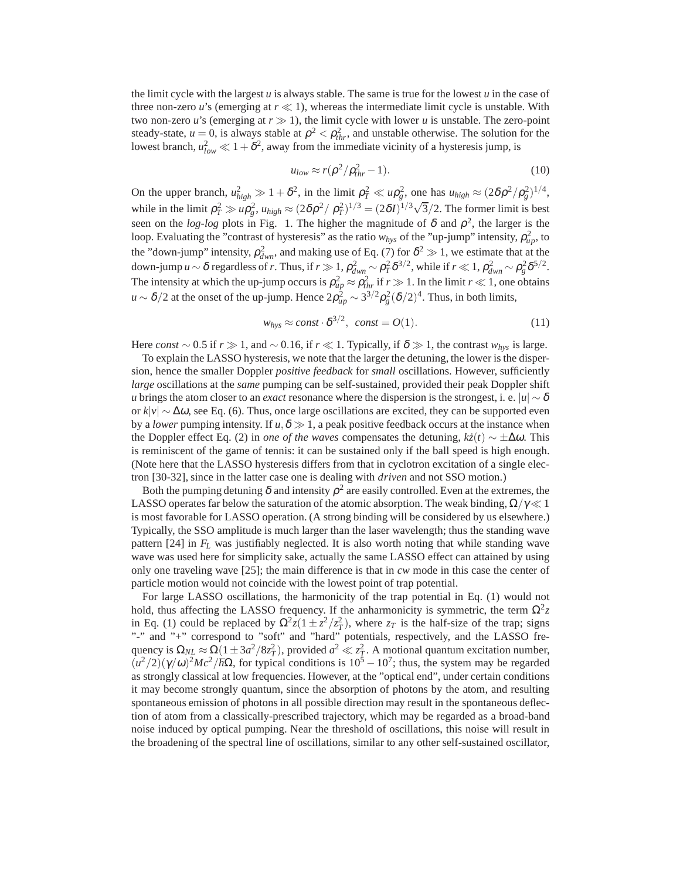the limit cycle with the largest  $u$  is always stable. The same is true for the lowest  $u$  in the case of three non-zero  $u$ 's (emerging at  $r \ll 1$ ), whereas the intermediate limit cycle is unstable. With two non-zero *u*'s (emerging at  $r \gg 1$ ), the limit cycle with lower *u* is unstable. The zero-point steady-state,  $u = 0$ , is always stable at  $\rho^2 < \rho_{thr}^2$ , and unstable otherwise. The solution for the lowest branch,  $u_{low}^2 \ll 1 + \delta^2$ , away from the immediate vicinity of a hysteresis jump, is

$$
u_{low} \approx r(\rho^2/\rho_{thr}^2 - 1). \tag{10}
$$

On the upper branch,  $u_{high}^2 \gg 1 + \delta^2$ , in the limit  $\rho_T^2 \ll u \rho_g^2$ , one has  $u_{high} \approx (2\delta \rho^2/\rho_g^2)^{1/4}$ , while in the limit  $\rho_T^2 \gg u \rho_g^2$ ,  $u_{high} \approx (2\delta \rho^2/\rho_T^2)^{1/3} = (2\delta I)^{1/3}\sqrt{3}/2$ . The former limit is best seen on the *log-log* plots in Fig. 1. The higher the magnitude of  $\delta$  and  $\rho^2$ , the larger is the loop. Evaluating the "contrast of hysteresis" as the ratio  $w_{hys}$  of the "up-jump" intensity,  $\rho_{up}^2$ , to the "down-jump" intensity,  $\rho_{dwn}^2$ , and making use of Eq. (7) for  $\delta^2 \gg 1$ , we estimate that at the down-jump *u* ∼ δ regardless of *r*. Thus, if  $r \gg 1$ ,  $\rho_{dwn}^2 \sim \rho_T^2 \delta^{3/2}$ , while if  $r \ll 1$ ,  $\rho_{dwn}^2 \sim \rho_g^2 \delta^{5/2}$ . The intensity at which the up-jump occurs is  $\rho_{up}^2 \approx \rho_{thr}^2$  if  $r \gg 1$ . In the limit  $r \ll 1$ , one obtains *u* ∼  $\delta/2$  at the onset of the up-jump. Hence  $2\rho_{up}^2 \sim 3^{3/2} \rho_g^2 (\delta/2)^4$ . Thus, in both limits,

$$
w_{hys} \approx const \cdot \delta^{3/2}, \quad const = O(1). \tag{11}
$$

Here *const* ∼ 0.5 if  $r \gg 1$ , and ∼ 0.16, if  $r \ll 1$ . Typically, if  $\delta \gg 1$ , the contrast  $w_{hys}$  is large.

To explain the LASSO hysteresis, we note that the larger the detuning, the lower is the dispersion, hence the smaller Doppler *positive feedback* for *small* oscillations. However, sufficiently *large* oscillations at the *same* pumping can be self-sustained, provided their peak Doppler shift *u* brings the atom closer to an *exact* resonance where the dispersion is the strongest, i. e.  $|u| \sim \delta$ or  $k|v| \sim \Delta \omega$ , see Eq. (6). Thus, once large oscillations are excited, they can be supported even by a *lower* pumping intensity. If  $u, \delta \gg 1$ , a peak positive feedback occurs at the instance when the Doppler effect Eq. (2) in *one of the waves* compensates the detuning,  $kz(t) \sim \pm \Delta \omega$ . This is reminiscent of the game of tennis: it can be sustained only if the ball speed is high enough. (Note here that the LASSO hysteresis differs from that in cyclotron excitation of a single electron [30-32], since in the latter case one is dealing with *driven* and not SSO motion.)

Both the pumping detuning  $\delta$  and intensity  $\rho^2$  are easily controlled. Even at the extremes, the LASSO operates far below the saturation of the atomic absorption. The weak binding,  $\Omega/\gamma \ll 1$ is most favorable for LASSO operation. (A strong binding will be considered by us elsewhere.) Typically, the SSO amplitude is much larger than the laser wavelength; thus the standing wave pattern [24] in *F<sup>L</sup>* was justifiably neglected. It is also worth noting that while standing wave wave was used here for simplicity sake, actually the same LASSO effect can attained by using only one traveling wave [25]; the main difference is that in *cw* mode in this case the center of particle motion would not coincide with the lowest point of trap potential.

For large LASSO oscillations, the harmonicity of the trap potential in Eq. (1) would not hold, thus affecting the LASSO frequency. If the anharmonicity is symmetric, the term  $\Omega^2 z$ in Eq. (1) could be replaced by  $\Omega^2 z(1 \pm z^2/z_T^2)$ , where  $z_T$  is the half-size of the trap; signs "-" and "+" correspond to "soft" and "hard" potentials, respectively, and the LASSO frequency is  $\Omega_{NL} \approx \Omega(1 \pm 3a^2/8z_T^2)$ , provided  $a^2 \ll z_T^2$ . A motional quantum excitation number,  $(u^2/2)(\gamma/\omega)^2 Mc^2/\hbar\Omega$ , for typical conditions is  $10^5 - 10^7$ ; thus, the system may be regarded as strongly classical at low frequencies. However, at the "optical end", under certain conditions it may become strongly quantum, since the absorption of photons by the atom, and resulting spontaneous emission of photons in all possible direction may result in the spontaneous deflection of atom from a classically-prescribed trajectory, which may be regarded as a broad-band noise induced by optical pumping. Near the threshold of oscillations, this noise will result in the broadening of the spectral line of oscillations, similar to any other self-sustained oscillator,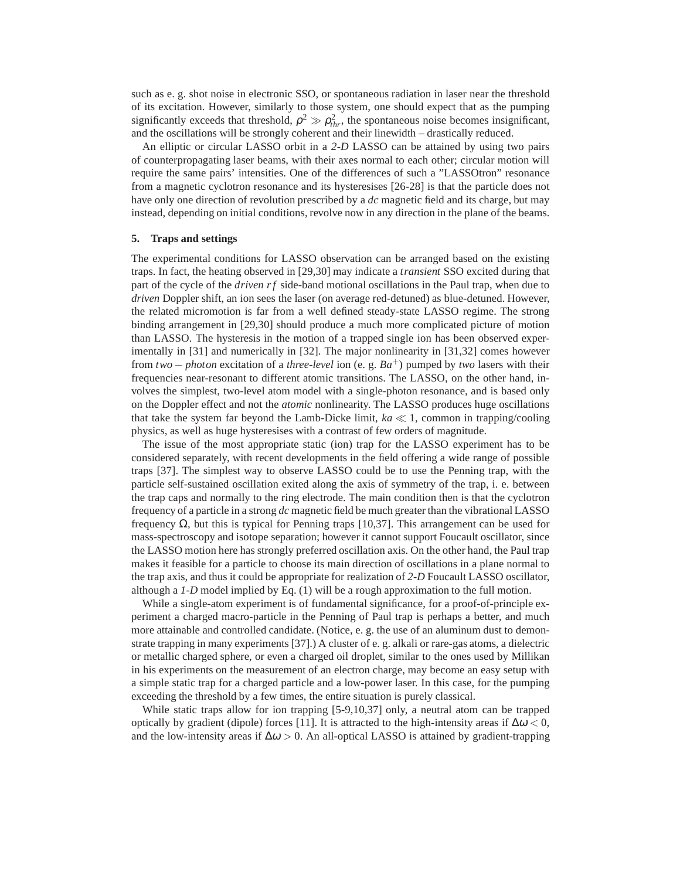such as e. g. shot noise in electronic SSO, or spontaneous radiation in laser near the threshold of its excitation. However, similarly to those system, one should expect that as the pumping significantly exceeds that threshold,  $\rho^2 \gg \rho_{thr}^2$ , the spontaneous noise becomes insignificant, and the oscillations will be strongly coherent and their linewidth – drastically reduced.

An elliptic or circular LASSO orbit in a *2-D* LASSO can be attained by using two pairs of counterpropagating laser beams, with their axes normal to each other; circular motion will require the same pairs' intensities. One of the differences of such a "LASSOtron" resonance from a magnetic cyclotron resonance and its hysteresises [26-28] is that the particle does not have only one direction of revolution prescribed by a *dc* magnetic field and its charge, but may instead, depending on initial conditions, revolve now in any direction in the plane of the beams.

#### **5. Traps and settings**

The experimental conditions for LASSO observation can be arranged based on the existing traps. In fact, the heating observed in [29,30] may indicate a *transient* SSO excited during that part of the cycle of the *driven rf* side-band motional oscillations in the Paul trap, when due to *driven* Doppler shift, an ion sees the laser (on average red-detuned) as blue-detuned. However, the related micromotion is far from a well defined steady-state LASSO regime. The strong binding arrangement in [29,30] should produce a much more complicated picture of motion than LASSO. The hysteresis in the motion of a trapped single ion has been observed experimentally in [31] and numerically in [32]. The major nonlinearity in [31,32] comes however from *two* <sup>−</sup> *photon* excitation of a *three-level* ion (e. g. *Ba*+) pumped by *two* lasers with their frequencies near-resonant to different atomic transitions. The LASSO, on the other hand, involves the simplest, two-level atom model with a single-photon resonance, and is based only on the Doppler effect and not the *atomic* nonlinearity. The LASSO produces huge oscillations that take the system far beyond the Lamb-Dicke limit,  $ka \ll 1$ , common in trapping/cooling physics, as well as huge hysteresises with a contrast of few orders of magnitude.

The issue of the most appropriate static (ion) trap for the LASSO experiment has to be considered separately, with recent developments in the field offering a wide range of possible traps [37]. The simplest way to observe LASSO could be to use the Penning trap, with the particle self-sustained oscillation exited along the axis of symmetry of the trap, i. e. between the trap caps and normally to the ring electrode. The main condition then is that the cyclotron frequency of a particle in a strong *dc* magnetic field be much greater than the vibrational LASSO frequency  $\Omega$ , but this is typical for Penning traps [10,37]. This arrangement can be used for mass-spectroscopy and isotope separation; however it cannot support Foucault oscillator, since the LASSO motion here has strongly preferred oscillation axis. On the other hand, the Paul trap makes it feasible for a particle to choose its main direction of oscillations in a plane normal to the trap axis, and thus it could be appropriate for realization of *2-D* Foucault LASSO oscillator, although a *1-D* model implied by Eq. (1) will be a rough approximation to the full motion.

While a single-atom experiment is of fundamental significance, for a proof-of-principle experiment a charged macro-particle in the Penning of Paul trap is perhaps a better, and much more attainable and controlled candidate. (Notice, e. g. the use of an aluminum dust to demonstrate trapping in many experiments [37].) A cluster of e. g. alkali or rare-gas atoms, a dielectric or metallic charged sphere, or even a charged oil droplet, similar to the ones used by Millikan in his experiments on the measurement of an electron charge, may become an easy setup with a simple static trap for a charged particle and a low-power laser. In this case, for the pumping exceeding the threshold by a few times, the entire situation is purely classical.

While static traps allow for ion trapping [5-9,10,37] only, a neutral atom can be trapped optically by gradient (dipole) forces [11]. It is attracted to the high-intensity areas if  $\Delta \omega < 0$ , and the low-intensity areas if  $\Delta \omega > 0$ . An all-optical LASSO is attained by gradient-trapping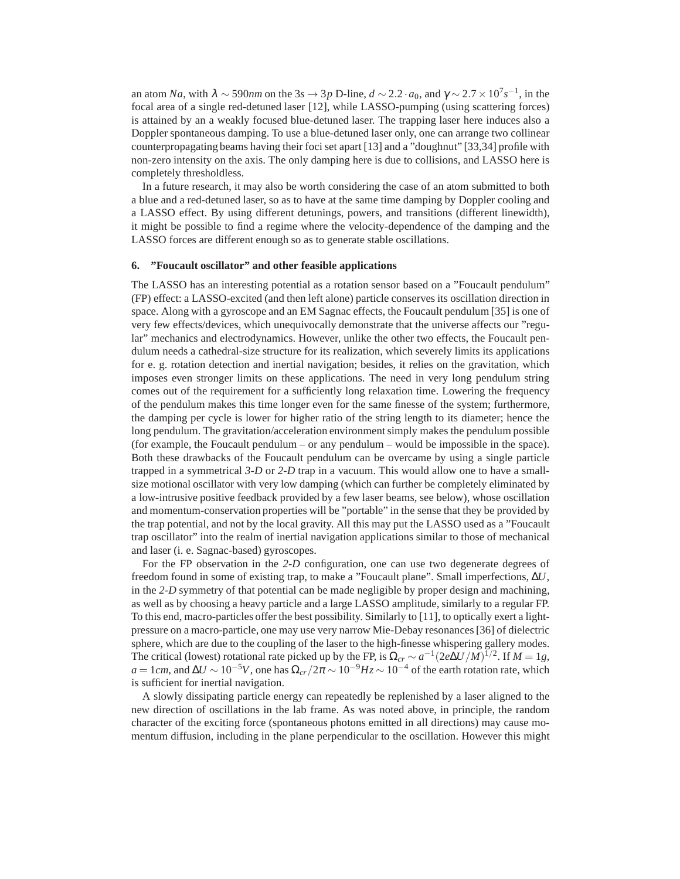an atom *Na*, with  $\lambda \sim 590$ *nm* on the 3*s* → 3*p* D-line,  $d \sim 2.2 \cdot a_0$ , and  $\gamma \sim 2.7 \times 10^7 s^{-1}$ , in the focal area of a single red-detuned laser [12], while LASSO-pumping (using scattering forces) is attained by an a weakly focused blue-detuned laser. The trapping laser here induces also a Doppler spontaneous damping. To use a blue-detuned laser only, one can arrange two collinear counterpropagating beams having their foci set apart [13] and a "doughnut" [33,34] profile with non-zero intensity on the axis. The only damping here is due to collisions, and LASSO here is completely thresholdless.

In a future research, it may also be worth considering the case of an atom submitted to both a blue and a red-detuned laser, so as to have at the same time damping by Doppler cooling and a LASSO effect. By using different detunings, powers, and transitions (different linewidth), it might be possible to find a regime where the velocity-dependence of the damping and the LASSO forces are different enough so as to generate stable oscillations.

### **6. "Foucault oscillator" and other feasible applications**

The LASSO has an interesting potential as a rotation sensor based on a "Foucault pendulum" (FP) effect: a LASSO-excited (and then left alone) particle conserves its oscillation direction in space. Along with a gyroscope and an EM Sagnac effects, the Foucault pendulum [35] is one of very few effects/devices, which unequivocally demonstrate that the universe affects our "regular" mechanics and electrodynamics. However, unlike the other two effects, the Foucault pendulum needs a cathedral-size structure for its realization, which severely limits its applications for e. g. rotation detection and inertial navigation; besides, it relies on the gravitation, which imposes even stronger limits on these applications. The need in very long pendulum string comes out of the requirement for a sufficiently long relaxation time. Lowering the frequency of the pendulum makes this time longer even for the same finesse of the system; furthermore, the damping per cycle is lower for higher ratio of the string length to its diameter; hence the long pendulum. The gravitation/acceleration environment simply makes the pendulum possible (for example, the Foucault pendulum – or any pendulum – would be impossible in the space). Both these drawbacks of the Foucault pendulum can be overcame by using a single particle trapped in a symmetrical *3-D* or *2-D* trap in a vacuum. This would allow one to have a smallsize motional oscillator with very low damping (which can further be completely eliminated by a low-intrusive positive feedback provided by a few laser beams, see below), whose oscillation and momentum-conservation properties will be "portable" in the sense that they be provided by the trap potential, and not by the local gravity. All this may put the LASSO used as a "Foucault trap oscillator" into the realm of inertial navigation applications similar to those of mechanical and laser (i. e. Sagnac-based) gyroscopes.

For the FP observation in the *2-D* configuration, one can use two degenerate degrees of freedom found in some of existing trap, to make a "Foucault plane". Small imperfections, ∆*U*, in the *2-D* symmetry of that potential can be made negligible by proper design and machining, as well as by choosing a heavy particle and a large LASSO amplitude, similarly to a regular FP. To this end, macro-particles offer the best possibility. Similarly to [11], to optically exert a lightpressure on a macro-particle, one may use very narrow Mie-Debay resonances [36] of dielectric sphere, which are due to the coupling of the laser to the high-finesse whispering gallery modes. The critical (lowest) rotational rate picked up by the FP, is  $\Omega_{cr} \sim a^{-1} (2e\Delta U/M)^{1/2}$ . If  $M = 1g$ ,  $a = 1$ *cm*, and  $\Delta U \sim 10^{-5}V$ , one has  $\Omega_{cr}/2\pi \sim 10^{-9}Hz \sim 10^{-4}$  of the earth rotation rate, which is sufficient for inertial navigation.

A slowly dissipating particle energy can repeatedly be replenished by a laser aligned to the new direction of oscillations in the lab frame. As was noted above, in principle, the random character of the exciting force (spontaneous photons emitted in all directions) may cause momentum diffusion, including in the plane perpendicular to the oscillation. However this might